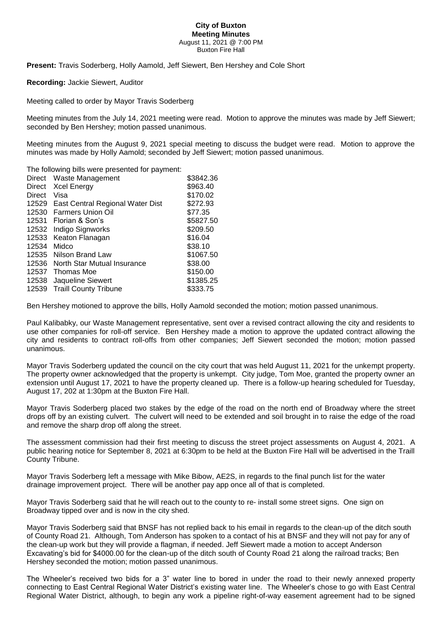## **City of Buxton Meeting Minutes** August 11, 2021 @ 7:00 PM Buxton Fire Hall

**Present:** Travis Soderberg, Holly Aamold, Jeff Siewert, Ben Hershey and Cole Short

**Recording:** Jackie Siewert, Auditor

Meeting called to order by Mayor Travis Soderberg

Meeting minutes from the July 14, 2021 meeting were read. Motion to approve the minutes was made by Jeff Siewert; seconded by Ben Hershey; motion passed unanimous.

Meeting minutes from the August 9, 2021 special meeting to discuss the budget were read. Motion to approve the minutes was made by Holly Aamold; seconded by Jeff Siewert; motion passed unanimous.

The following bills were presented for payment:

| <b>Direct</b> | Waste Management                 | \$3842.36 |
|---------------|----------------------------------|-----------|
| Direct        | <b>Xcel Energy</b>               | \$963.40  |
| Direct        | Visa                             | \$170.02  |
| 12529         | East Central Regional Water Dist | \$272.93  |
| 12530         | <b>Farmers Union Oil</b>         | \$77.35   |
| 12531         | Florian & Son's                  | \$5827.50 |
| 12532         | Indigo Signworks                 | \$209.50  |
| 12533         | Keaton Flanagan                  | \$16.04   |
| 12534         | Midco                            | \$38.10   |
| 12535         | Nilson Brand Law                 | \$1067.50 |
| 12536         | North Star Mutual Insurance      | \$38.00   |
| 12537         | Thomas Moe                       | \$150.00  |
| 12538         | Jaqueline Siewert                | \$1385.25 |
| 12539         | <b>Traill County Tribune</b>     | \$333.75  |

Ben Hershey motioned to approve the bills, Holly Aamold seconded the motion; motion passed unanimous.

Paul Kalibabky, our Waste Management representative, sent over a revised contract allowing the city and residents to use other companies for roll-off service. Ben Hershey made a motion to approve the updated contract allowing the city and residents to contract roll-offs from other companies; Jeff Siewert seconded the motion; motion passed unanimous.

Mayor Travis Soderberg updated the council on the city court that was held August 11, 2021 for the unkempt property. The property owner acknowledged that the property is unkempt. City judge, Tom Moe, granted the property owner an extension until August 17, 2021 to have the property cleaned up. There is a follow-up hearing scheduled for Tuesday, August 17, 202 at 1:30pm at the Buxton Fire Hall.

Mayor Travis Soderberg placed two stakes by the edge of the road on the north end of Broadway where the street drops off by an existing culvert. The culvert will need to be extended and soil brought in to raise the edge of the road and remove the sharp drop off along the street.

The assessment commission had their first meeting to discuss the street project assessments on August 4, 2021. A public hearing notice for September 8, 2021 at 6:30pm to be held at the Buxton Fire Hall will be advertised in the Traill County Tribune.

Mayor Travis Soderberg left a message with Mike Bibow, AE2S, in regards to the final punch list for the water drainage improvement project. There will be another pay app once all of that is completed.

Mayor Travis Soderberg said that he will reach out to the county to re- install some street signs. One sign on Broadway tipped over and is now in the city shed.

Mayor Travis Soderberg said that BNSF has not replied back to his email in regards to the clean-up of the ditch south of County Road 21. Although, Tom Anderson has spoken to a contact of his at BNSF and they will not pay for any of the clean-up work but they will provide a flagman, if needed. Jeff Siewert made a motion to accept Anderson Excavating's bid for \$4000.00 for the clean-up of the ditch south of County Road 21 along the railroad tracks; Ben Hershey seconded the motion; motion passed unanimous.

The Wheeler's received two bids for a 3" water line to bored in under the road to their newly annexed property connecting to East Central Regional Water District's existing water line. The Wheeler's chose to go with East Central Regional Water District, although, to begin any work a pipeline right-of-way easement agreement had to be signed